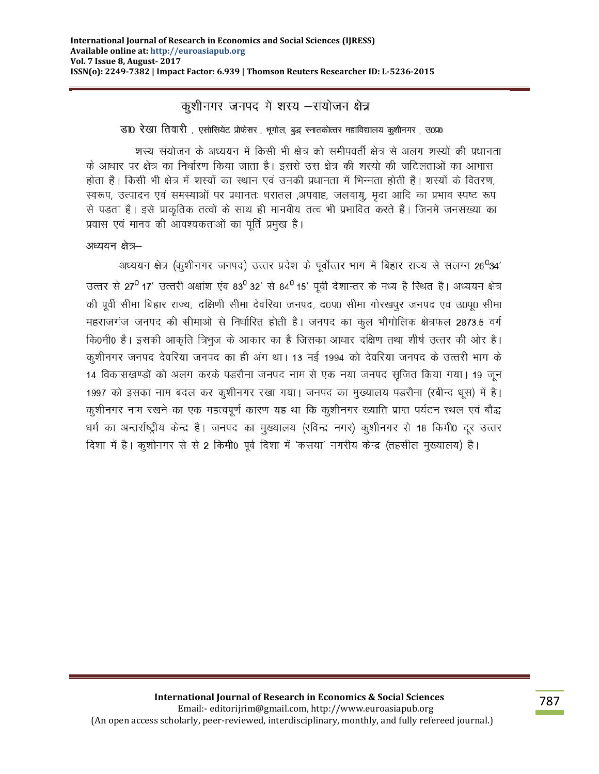कूशीनगर जनपद में शस्य -संयोजन क्षेत्र

डा0 रेखा तिवारी, एसोसियेट प्रोफेसर, भूगोल, बुद्ध स्नातकोत्तर महाविद्यालय कुशीनगर, उ०प्र०

शस्य संयोजन के अध्ययन में किसी भी क्षेत्र को समीपवर्ती क्षेत्र से अलग शस्यों की प्रधानता के आधार पर क्षेत्र का निर्धारण किया जाता है। इससे उस क्षेत्र की शस्यो की जटिलताओं का आभास होता है। किसी भी क्षेत्र में शस्यों का स्थान एवं उनकी प्रधानता में भिन्नता होती है। शस्यों के वितरण, स्वरूप, उत्पादन एवं समस्याओं पर प्रधानतः धरातल ,अपवाह, जलवाय, मदा आदि का प्रभाव स्पष्ट रूप से पड़ता है। इसे प्राकृतिक तत्वों के साथ ही मानवीय तत्व भी प्रभावित करते हैं। जिनमें जनसंख्या का प्रवास एवं मानव की आवश्यकताओं का पूर्ति प्रमुख है।

अध्ययन क्षेत्र-

अध्ययन क्षेत्र (कृशीनगर जनपद) उत्तर प्रदेश के पूर्वोत्तर भाग में बिहार राज्य से संलग्न 26<sup>0</sup>34' उत्तर से 27<sup>0</sup> 17' उत्तरी अक्षांश एंव 83<sup>0</sup> 32' से 84<sup>0</sup> 15' पूर्वी देशान्तर के मध्य है स्थित है। अध्ययन क्षेत्र की पूर्वी सीमा बिहार राज्य, दक्षिणी सीमा देवरिया जनपद, द0प0 सीमा गोरखपूर जनपद एवं उ0पू0 सीमा महराजगंज जनपद की सीमाओ से निर्धारित होती है। जनपद का कूल भौगोलिक क्षेत्रफल 2873.5 वर्ग कि0मी0 है। इसकी आकृति त्रिभुज के आकार का है जिसका आधार दक्षिण तथा शीर्ष उत्तर की ओर है। कुशीनगर जनपद देवरिया जनपद का ही अंग था। 13 मई 1994 को देवरिया जनपद के उत्तरी भाग के 14 विकासखण्डों को अलग करके पडरौना जनपद नाम से एक नया जनपद सृजित किया गया। 19 जून 1997 को इसका नाम बदल कर कुशीनगर रखा गया। जनपद का मुख्यालय पडरौना (रबीन्द धूस) में है। कूशीनगर नाम रखने का एक महत्वपूर्ण कारण यह था कि कूशीनगर ख्याति प्राप्त पर्यटन स्थल एवं बौद्ध धर्म का अन्तर्राष्ट्रीय केन्द्र है। जनपद का मुख्यालय (रविन्द्र नगर) कुशीनगर से 18 किमी0 दूर उत्तर दिशा में है। कूशीनगर से से 2 किमी0 पूर्व दिशा में 'कसया' नगरीय केन्द्र (तहसील मुख्यालय) है।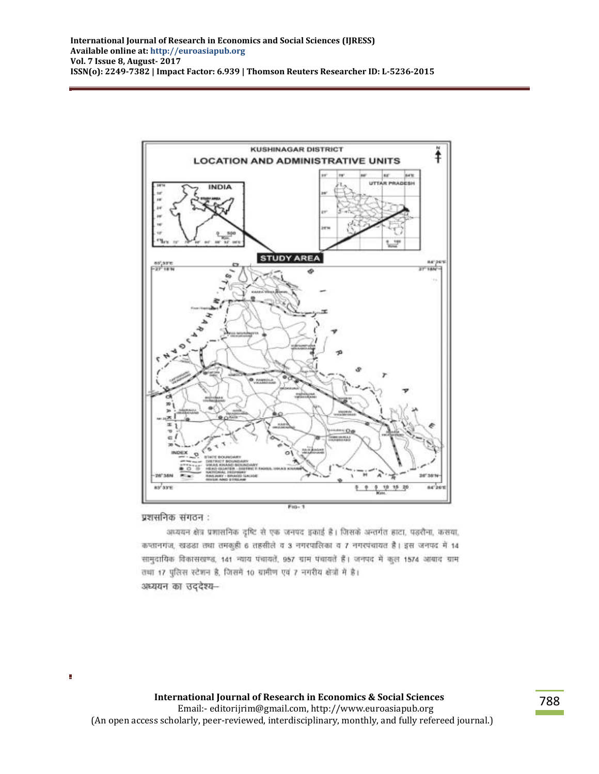

प्रशसनिक संगठन :

अध्ययन क्षेत्र प्रशासनिक दृष्टि से एक जनपद इकाई है। जिसके अन्तर्गत हाटा, पड़रौना, कसवा, कप्तानगंज, खडड़ा तथा तमकूही 6 तहसीले व 3 नगरपालिका व 7 नगरपंचायत है। इस जनपद में 14 सामुदायिक विकासखण्ड, 141 न्याय पंचायतें, 957 ग्राम पंचायतें हैं। जनपद में कुल 1574 आबाद ग्राम तथा 17 पुलिस स्टेशन है, जिसमें 10 ग्रामीण एवं 7 नगरीय क्षेत्रों में है। अध्ययन का उददेश्य-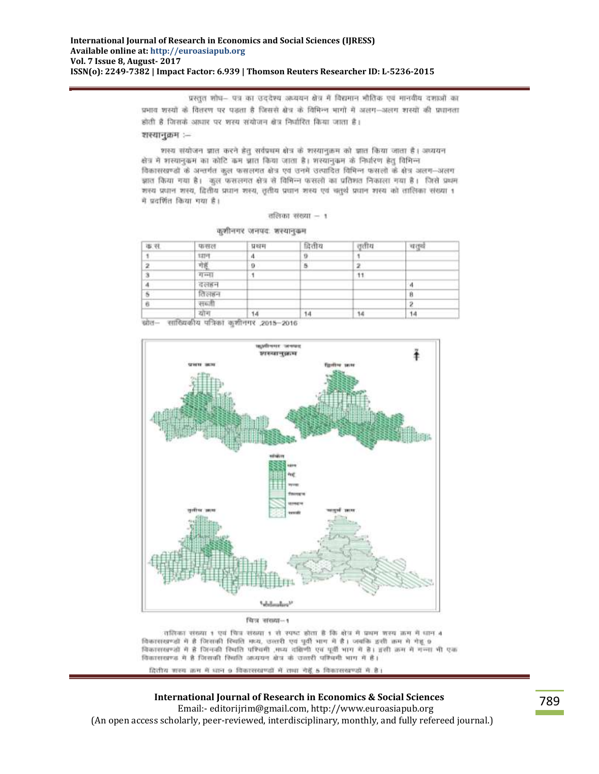प्रस्तुत शोध- पत्र का उददेश्य अध्ययन क्षेत्र में विद्यमान भौतिक एवं मानवीय दशाओं का प्रभाव शस्यों के वितरण पर पड़ता है जिससे क्षेत्र के विभिन्न भागों में अलग-अलग शस्यों की प्रधानता होती है जिसके आधार पर शरय संयोजन क्षेत्र निर्धारित किया जाता है।

### शस्यानुक्रम :--

शस्य संयोजन ज्ञात करने डेत् सर्वप्रथम क्षेत्र के शस्यानुक्रम को ज्ञात किया जाता है। अध्ययन क्षेत्र में शस्यानुकम का कोटि कम न्नात किया जाता है। शस्यानुकम के निर्धारण हेतु विभिन्न विकासखण्डों के अन्तर्गत कल फसलगत क्षेत्र एवं जनमें उत्पादित विभिन्न फसलों के क्षेत्र अलग-अलग झात किया गया है। कल फसलगत क्षेत्र से विभिन्न फसलों का प्रतिशत निकाला गया है। जिसे प्रथम शस्य प्रधान शस्य, द्वितीय प्रधान शस्य, तृतीय प्रधान शस्य एवं चतुर्थं प्रधान शस्य को तालिका संख्या १ में प्रदर्शित किया गया है।

#### तलिका संख्या -- १

|  | कशीनगर जनपदः शस्यानुकम |
|--|------------------------|
|--|------------------------|

| 导,审 | फसल       | प्रधम | द्रितीय      | ततीय | चत्तवे |  |
|-----|-----------|-------|--------------|------|--------|--|
|     | 1379      | л     | $\mathbf{u}$ |      |        |  |
|     | गेहूँ     | 9     | 5            |      |        |  |
|     | $41 - 41$ |       |              | 11   |        |  |
|     | वलहन      |       |              |      |        |  |
|     | तिलहन     |       |              |      | в      |  |
|     | सब्जी     |       |              |      |        |  |
|     | योग       | 14    | 14           | 14   | 14     |  |

कोत- सांख्यिकीय पत्रिका कुशीनगर ,2015-2016



चित्र संख्या-1

तसिका संख्या 1 एवं पित्र संख्या 1 से स्पष्ट होता है कि क्षेत्र में प्रथम जरूर क्रम में धान 4 विकासस्वर्ण्डों में है जिसाकी रिवर्ति मध्य, उत्तरी एवं पूर्वी भाग में हैं। जबकि इसी क्रम में गेहूं 9 विकासखण्डों में है जिनकी रियति परिवर्ती , मध्य दक्षिणी एवं पूर्वी भाग में है। इसी क्रम में गन्ना भी एक विकाससागढ़ में है जिसकी रिश्तति अध्ययन क्षेत्र के उत्तरी पत्रिधनी भाग में है।

# दितीय शस्य क्रम में धान 9 विकासखण्डों में तथा गेहूँ 5 विकासखण्डों में है।

## **International Journal of Research in Economics & Social Sciences**

 Email:- editorijrim@gmail.com, http://www.euroasiapub.org (An open access scholarly, peer-reviewed, interdisciplinary, monthly, and fully refereed journal.)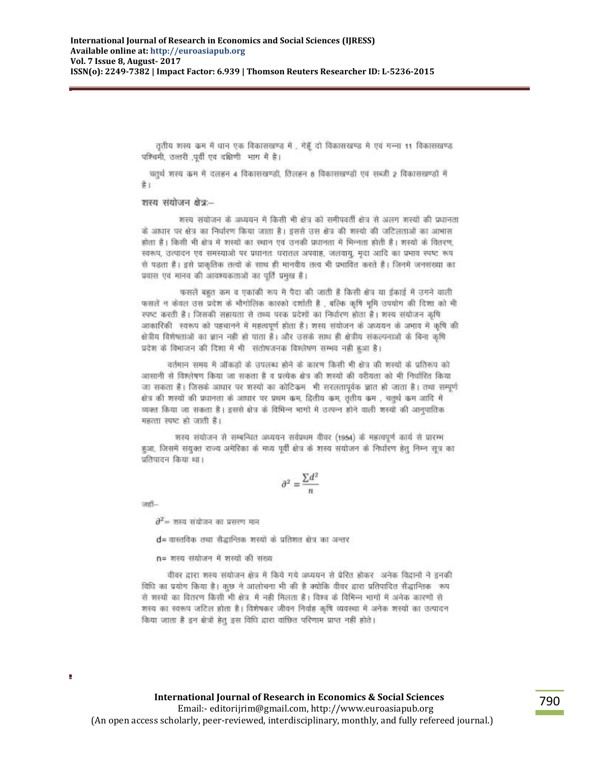तृतीय शस्य कम में धान एक विकासखण्ड में , गेहूँ दो विकासखण्ड मे एवं गन्ना 11 विकासखण्ड पत्रिचमी, उत्तरी पूर्वी एवं दक्षिणी भाग में है।

चतुर्थ शस्य कम में दलहन 4 विकासखण्डों, तिलहन 8 विकासखण्डों एवं सब्जी 2 विकासखण्डों में  $\frac{2}{5}$ 

#### शस्य संयोजन क्षेत्र:--

शस्य संयोजन के अध्ययन में किसी भी क्षेत्र को समीपवर्ती क्षेत्र से अलग शस्यों की प्रधानता के अध्यार पर क्षेत्र का निर्धारण किया जाता है। इससे उस क्षेत्र की शस्यो की जटिलताओं का आभास होता है। किसी भी क्षेत्र में शस्यों का स्थान एवं उनकी प्रधानता में भिन्नता होती है। शस्यों के वितरण, स्वरूप, उत्पादन एवं समस्याओं पर प्रधानतः धरातल अपवाह, जलवायू, मुदा आदि का प्रभाव स्पष्ट रूप से पडता है। इसे प्राकृतिक तत्वों के साथ ही मानवीय तत्व भी प्रभावित करते हैं। जिनमें जनसंख्या का प्रवास एवं मानव की आवश्यकताओं का पूर्ति प्रमुख है।

फसलें बहुत कम व एकांकी रूप में पैदा की जाती है किसी क्षेत्र या ईकाई में उगने वाली फसलें न केवल उस प्रदेश के भौगोलिक कारको दर्शाती है , बल्कि कृषि भूमि उपयोग की दिशा को भी स्पष्ट करती है। जिसकी सहायता से तथ्य परक प्रदेशों का निर्धारण होता है। शस्य संयोजन कृषि आकारिकी स्वरूप को पहचानने में महत्वपूर्ण होता है। शस्य संयोजन के अध्ययन के अभाव में कृषि की क्षेत्रीय विशेषताओं का ज्ञान नही हो पाता है। और उसके साथ ही क्षेत्रीय संकल्पनाओं के बिना कृषि प्रदेश के विभाजन की दिशा में भी संतोषजनक विश्लेषण सम्भव नही हुआ है।

वर्तमान समय में ऑकड़ों के उपलब्ध होने के कारण किसी भी क्षेत्र की शस्यों के प्रतिरूप को आसानी से विश्लेषण किया जा सकता है व प्रत्येक क्षेत्र की शस्यों की वरीयता को भी निर्धारित किया जा सकता है। जिसके आधार पर शस्यों का कोटिकम भी सरलतापूर्वक ज्ञात हो जाता है। तथा सम्पूर्ण सेत्र की शस्यों की प्रधानता के आधार पर प्रथम कम, द्वितीय कम, तृतीय कम , चतुर्थ कम आदि में व्यक्त किया जा सकता है। इससे क्षेत्र के विभिन्न भागों में उत्पन्न होने वाली शस्यों की आनुपातिक महत्ता स्पष्ट हो जाती है।

श्वस्य संयोजन से सम्बन्धित अध्ययन सर्वप्रथम वीवर (1954) के महत्वपूर्ण कार्य से प्रारम्भ हुआ, जिसमें संयुक्त राज्य अमेरिका के मध्य पूर्वी क्षेत्र के शस्य संयोजन के निर्धारण हेतु निम्न सूत्र का प्रतिपादन किया था।

$$
\partial^2 = \frac{\sum d^2}{n}
$$

uedi-

Ė

 $\partial^2$ = शस्य संयोजन का प्रसरण मान

d= वास्तविक तथा सैदान्तिक शस्यों के प्रतिशत क्षेत्र का अन्तर

n= शस्य संयोजन में शस्यों की संख्य

वीवर द्वारा शस्य संयोजन क्षेत्र में किये गये अध्ययन से प्रेरित होकर अनेक विद्वानों ने इनकी विधि का प्रयोग किया है। कुछ ने आलोचना भी की है क्योंकि वीवर द्वारा प्रतिपादित सैद्धान्तिक रूप से शस्यों का वितरण किसी भी क्षेत्र. में नहीं मिलता है। विश्व के विभिन्न भागों में अनेक कारणों से शस्य का स्वरूप जटिल होता है। विशेषकर जीवन निर्वाह कृषि व्यवस्था में अनेक शस्यों का उत्पादन किया जाता है इन क्षेत्रों हेतु इस विधि द्वारा वांछित परिणाम प्राप्त नहीं होते।

Ť.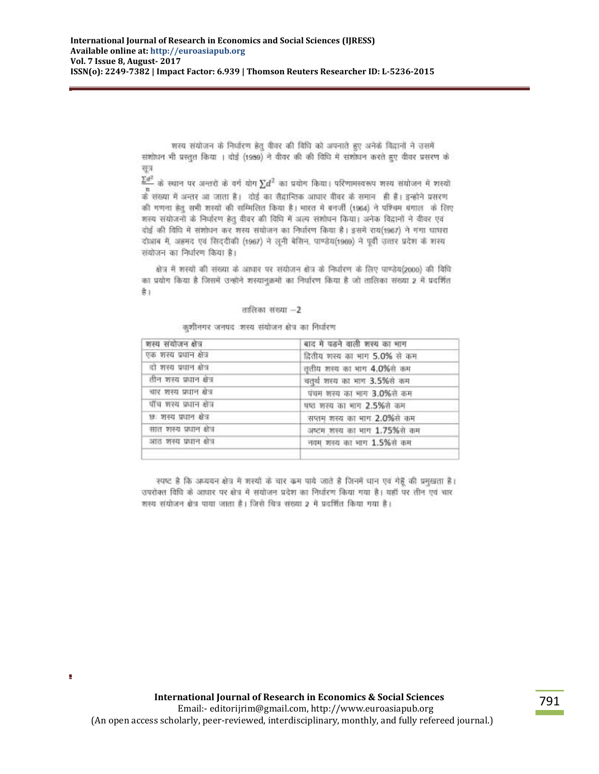शस्य संयोजन के निर्धारण हेतु वीवर की विधि को अपनाते हुए अनेके विद्रानों ने उसमें संशोधन भी प्रस्तुत किया । दोई (1959) ने वीवर की की विधि में संशोधन करते हुए वीवर प्रसरण के सत्र

 $\frac{\Sigma d^2}{d}$  के स्थान पर अन्तरों के वर्ग योग  $\Sigma d^2$  का प्रयोग किया। परिणामस्वरूप शस्य संयोजन में शस्यों .<br>के संख्या में अन्तर आ जाता है। दोई का सैदान्तिक आधार वीवर के समान , ही है। इन्होने प्रसरण की गणना हेत् सभी शस्यों की सम्मिलित किया है। भारत में बनर्जी (1964) ने पश्चिम बंगाल के लिए शस्य संयोजनों के निर्धारण हेतु वीवर की विधि में अत्य संशोधन किया। अनेक विद्रानों ने वीवर एवं दोई की विधि में संशोधन कर शस्य संयोजन का निर्धारण किया है। इसमें राय(1967) ने गंगा घाघरा दोआब में, अहमद एवं सिददीकी (1967) ने लूनी बेसिन, पाण्डेय(1969) ने पूर्वी उत्तर प्रदेश के शस्य संयोजन का निर्धारण किया है।

क्षेत्र में शस्यों की संख्या के आधार पर संयोजन क्षेत्र के निर्धारण के लिए पाण्डेय(2000) की विधि का प्रयोग किया है जिसमें उन्होंने शस्यानुक्रमों का निर्धारण किया है जो तालिका संख्या 2 में प्रदर्शित  $\frac{4}{5}$ 

#### तालिका संख्या -2

कुशीनगर जनपद शस्य संयोजन क्षेत्र का निर्धारण

| शस्य संयोजन क्षेत्र      | बाद में पडने वाली शस्य का भाग |  |
|--------------------------|-------------------------------|--|
| एक शस्य प्रधान क्षेत्र   | दितीय शस्य का भाग 5.0% से कम  |  |
| दो शस्य प्रधान क्षेत्र   | तृतीय शस्य का भाग 4.0%से कम   |  |
| तीन शस्य प्रधान क्षेत्र  | चतुर्थ शस्य का माग 3.5%से कम  |  |
| चार शस्य प्रधान खेत्र    | पंचम शस्य का भाग 3.0%से कम    |  |
| पाँच शस्य प्रधान क्षेत्र | षष्ठ शस्य का भाग 2.5%से कम    |  |
| छः शस्य प्रधान क्षेत्र   | सप्तम शस्य का भाग 2.0%से कम   |  |
| सात शस्य प्रधान क्षेत्र  | अध्टम शस्य का भाग 1.75%से कम  |  |
| आठ शस्य प्रधान क्षेत्र   | नवम शस्य का भाग 1.5%से कम     |  |
|                          |                               |  |

स्पष्ट है कि अध्ययन क्षेत्र में शरयों के चार कम पाये जाते है जिनमें धान एवं गेहूँ की प्रमुखता है। उपरोक्त विवि के आधार पर क्षेत्र में संयोजन प्रदेश का निर्धारण किया गया है। यहाँ पर तीन एवं चार शस्य संयोजन क्षेत्र पाया जाता है। जिसे चित्र संख्या 2 में प्रदर्शित किया गया है।

 $\blacksquare$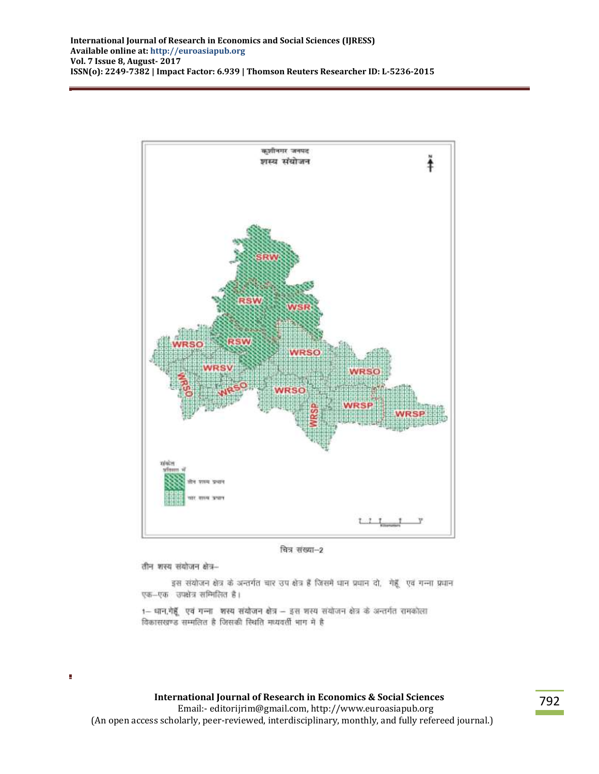

चित्र संख्या-2

तीन शस्य संयोजन क्षेत्र--

Ì.

इस संयोजन क्षेत्र के अन्तर्गत चार उप क्षेत्र हैं जिसमें धान प्रधान दो, गेहूँ एवं गन्ना प्रधान एक-एक उपक्षेत्र सम्मिलित है।

1- धान,गेहूँ एवं गन्ना शस्य संयोजन क्षेत्र - इस शस्य संयोजन क्षेत्र के अन्तर्गत रामकोला विकासखण्ड सम्मलित है जिसकी स्थिति मध्यवर्ती भाग मे है

**International Journal of Research in Economics & Social Sciences** Email:- editorijrim@gmail.com, http://www.euroasiapub.org (An open access scholarly, peer-reviewed, interdisciplinary, monthly, and fully refereed journal.)